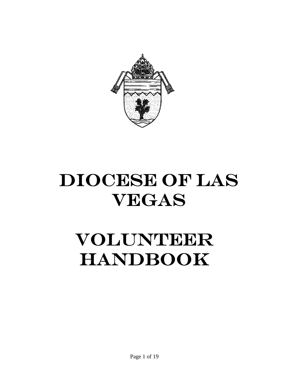

# DIOCESE OF LAS VEGAS

# VOLUNTEER HANDBOOK

Page 1 of 19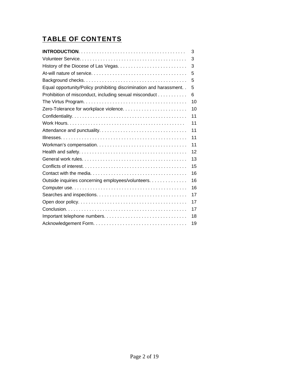## TABLE OF CONTENTS

|                                                                       | 3  |
|-----------------------------------------------------------------------|----|
|                                                                       | 3  |
| History of the Diocese of Las Vegas                                   | 3  |
|                                                                       | 5  |
|                                                                       | 5  |
| Equal opportunity/Policy prohibiting discrimination and harassment. . | 5  |
| Prohibition of misconduct, including sexual misconduct                | 6  |
|                                                                       | 10 |
|                                                                       | 10 |
|                                                                       | 11 |
|                                                                       | 11 |
|                                                                       | 11 |
|                                                                       | 11 |
|                                                                       | 11 |
|                                                                       | 12 |
|                                                                       | 13 |
|                                                                       | 15 |
|                                                                       | 16 |
| Outside inquiries concerning employees/volunteers.                    | 16 |
|                                                                       | 16 |
|                                                                       | 17 |
|                                                                       | 17 |
|                                                                       | 17 |
|                                                                       | 18 |
|                                                                       | 19 |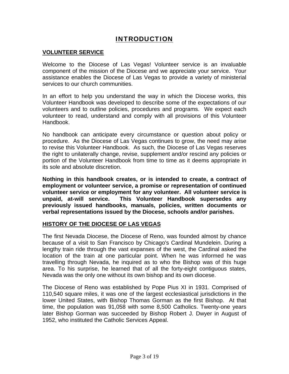## INTRODUCTION

#### **VOLUNTEER SERVICE**

Welcome to the Diocese of Las Vegas! Volunteer service is an invaluable component of the mission of the Diocese and we appreciate your service. Your assistance enables the Diocese of Las Vegas to provide a variety of ministerial services to our church communities.

In an effort to help you understand the way in which the Diocese works, this Volunteer Handbook was developed to describe some of the expectations of our volunteers and to outline policies, procedures and programs. We expect each volunteer to read, understand and comply with all provisions of this Volunteer Handbook.

No handbook can anticipate every circumstance or question about policy or procedure. As the Diocese of Las Vegas continues to grow, the need may arise to revise this Volunteer Handbook. As such, the Diocese of Las Vegas reserves the right to unilaterally change, revise, supplement and/or rescind any policies or portion of the Volunteer Handbook from time to time as it deems appropriate in its sole and absolute discretion.

**Nothing in this handbook creates, or is intended to create, a contract of employment or volunteer service, a promise or representation of continued volunteer service or employment for any volunteer. All volunteer service is unpaid, at-will service. This Volunteer Handbook supersedes any previously issued handbooks, manuals, policies, written documents or verbal representations issued by the Diocese, schools and/or parishes.** 

#### **HISTORY OF THE DIOCESE OF LAS VEGAS**

The first Nevada Diocese, the Diocese of Reno, was founded almost by chance because of a visit to San Francisco by Chicago's Cardinal Mundelein. During a lengthy train ride through the vast expanses of the west, the Cardinal asked the location of the train at one particular point. When he was informed he was travelling through Nevada, he inquired as to who the Bishop was of this huge area. To his surprise, he learned that of all the forty-eight contiguous states, Nevada was the only one without its own bishop and its own diocese.

The Diocese of Reno was established by Pope Pius XI in 1931. Comprised of 110,540 square miles, it was one of the largest ecclesiastical jurisdictions in the lower United States, with Bishop Thomas Gorman as the first Bishop. At that time, the population was 91,058 with some 8,500 Catholics. Twenty-one years later Bishop Gorman was succeeded by Bishop Robert J. Dwyer in August of 1952, who instituted the Catholic Services Appeal.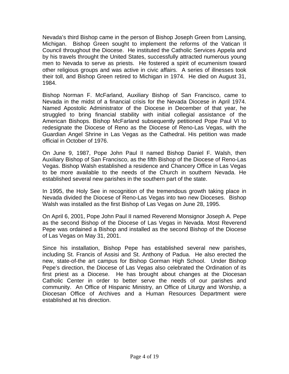Nevada's third Bishop came in the person of Bishop Joseph Green from Lansing, Michigan. Bishop Green sought to implement the reforms of the Vatican II Council throughout the Diocese. He instituted the Catholic Services Appela and by his travels throught the United States, successfully attracted numerous young men to Nevada to serve as priests. He fostered a spirit of ecumenism toward other religious groups and was active in civic affairs. A series of illnesses took their toll, and Bishop Green retired to Michigan in 1974. He died on August 31, 1984.

Bishop Norman F. McFarland, Auxiliary Bishop of San Francisco, came to Nevada in the midst of a financial crisis for the Nevada Diocese in April 1974. Named Apostolic Administrator of the Diocese in December of that year, he struggled to bring financial stability with initial collegial assistance of the American Bishops. Bishop McFarland subsequently petitioned Pope Paul VI to redesignate the Diocese of Reno as the Diocese of Reno-Las Vegas, with the Guardian Angel Shrine in Las Vegas as the Cathedral. His petition was made official in October of 1976.

On June 9, 1987, Pope John Paul II named Bishop Daniel F. Walsh, then Auxiliary Bishop of San Francisco, as the fifth Bishop of the Diocese of Reno-Las Vegas. Bishop Walsh established a residence and Chancery Office in Las Vegas to be more available to the needs of the Church in southern Nevada. He established several new parishes in the southern part of the state.

In 1995, the Holy See in recognition of the tremendous growth taking place in Nevada divided the Diocese of Reno-Las Vegas into two new Dioceses. Bishop Walsh was installed as the first Bishop of Las Vegas on June 28, 1995.

On April 6, 2001, Pope John Paul II named Reverend Monsignor Joseph A. Pepe as the second Bishop of the Diocese of Las Vegas in Nevada. Most Reverend Pepe was ordained a Bishop and installed as the second Bishop of the Diocese of Las Vegas on May 31, 2001.

Since his installation, Bishop Pepe has established several new parishes, including St. Francis of Assisi and St. Anthony of Padua. He also erected the new, state-of-the art campus for Bishop Gorman High School. Under Bishop Pepe's direction, the Diocese of Las Vegas also celebrated the Ordination of its first priest as a Diocese. He has brought about changes at the Diocesan Catholic Center in order to better serve the needs of our parishes and community. An Office of Hispanic Ministry, an Office of Liturgy and Worship, a Diocesan Office of Archives and a Human Resources Department were established at his direction.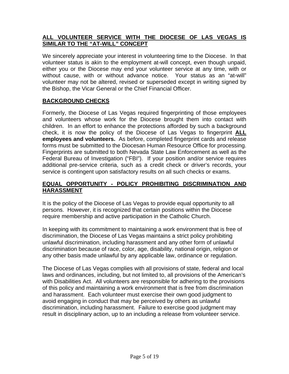## **ALL VOLUNTEER SERVICE WITH THE DIOCESE OF LAS VEGAS IS SIMILAR TO THE "AT-WILL" CONCEPT**

We sincerely appreciate your interest in volunteering time to the Diocese. In that volunteer status is akin to the employment at-will concept, even though unpaid, either you or the Diocese may end your volunteer service at any time, with or without cause, with or without advance notice. Your status as an "at-will" volunteer may not be altered, revised or superseded except in writing signed by the Bishop, the Vicar General or the Chief Financial Officer.

## **BACKGROUND CHECKS**

Formerly, the Diocese of Las Vegas required fingerprinting of those employees and volunteers whose work for the Diocese brought them into contact with children. In an effort to enhance the protections afforded by such a background check, it is now the policy of the Diocese of Las Vegas to fingerprint **ALL employees and volunteers.** As before, completed fingerprint cards and release forms must be submitted to the Diocesan Human Resource Office for processing. Fingerprints are submitted to both Nevada State Law Enforcement as well as the Federal Bureau of Investigation ("FBI"). If your position and/or service requires additional pre-service criteria, such as a credit check or driver's records, your service is contingent upon satisfactory results on all such checks or exams.

## **EQUAL OPPORTUNITY - POLICY PROHIBITING DISCRIMINATION AND HARASSMENT**

It is the policy of the Diocese of Las Vegas to provide equal opportunity to all persons. However, it is recognized that certain positions within the Diocese require membership and active participation in the Catholic Church.

In keeping with its commitment to maintaining a work environment that is free of discrimination, the Diocese of Las Vegas maintains a strict policy prohibiting unlawful discrimination, including harassment and any other form of unlawful discrimination because of race, color, age, disability, national origin, religion or any other basis made unlawful by any applicable law, ordinance or regulation.

The Diocese of Las Vegas complies with all provisions of state, federal and local laws and ordinances, including, but not limited to, all provisions of the American's with Disabilities Act. All volunteers are responsible for adhering to the provisions of this policy and maintaining a work environment that is free from discrimination and harassment. Each volunteer must exercise their own good judgment to avoid engaging in conduct that may be perceived by others as unlawful discrimination, including harassment. Failure to exercise good judgment may result in disciplinary action, up to an including a release from volunteer service.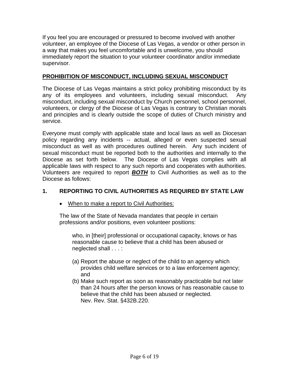If you feel you are encouraged or pressured to become involved with another volunteer, an employee of the Diocese of Las Vegas, a vendor or other person in a way that makes you feel uncomfortable and is unwelcome, you should immediately report the situation to your volunteer coordinator and/or immediate supervisor.

#### **PROHIBITION OF MISCONDUCT, INCLUDING SEXUAL MISCONDUCT**

The Diocese of Las Vegas maintains a strict policy prohibiting misconduct by its any of its employees and volunteers, including sexual misconduct. Any misconduct, including sexual misconduct by Church personnel, school personnel, volunteers, or clergy of the Diocese of Las Vegas is contrary to Christian morals and principles and is clearly outside the scope of duties of Church ministry and service.

Everyone must comply with applicable state and local laws as well as Diocesan policy regarding any incidents -- actual, alleged or even suspected sexual misconduct as well as with procedures outlined herein. Any such incident of sexual misconduct must be reported both to the authorities and internally to the Diocese as set forth below. The Diocese of Las Vegas complies with all applicable laws with respect to any such reports and cooperates with authorities. Volunteers are required to report *BOTH* to Civil Authorities as well as to the Diocese as follows:

## **1. REPORTING TO CIVIL AUTHORITIES AS REQUIRED BY STATE LAW**

• When to make a report to Civil Authorities:

The law of the State of Nevada mandates that people in certain professions and/or positions, even volunteer positions:

who, in [their] professional or occupational capacity, knows or has reasonable cause to believe that a child has been abused or neglected shall . . . :

- (a) Report the abuse or neglect of the child to an agency which provides child welfare services or to a law enforcement agency; and
- (b) Make such report as soon as reasonably practicable but not later than 24 hours after the person knows or has reasonable cause to believe that the child has been abused or neglected. Nev. Rev. Stat. §432B.220.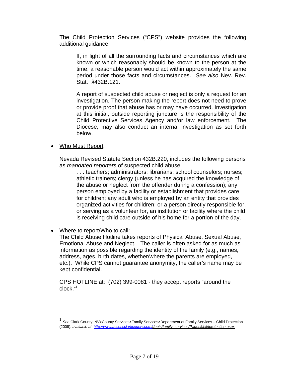The Child Protection Services ("CPS") website provides the following additional guidance:

If, in light of all the surrounding facts and circumstances which are known or which reasonably should be known to the person at the time, a reasonable person would act within approximately the same period under those facts and circumstances. *See also* Nev. Rev. Stat. §432B.121.

A report of suspected child abuse or neglect is only a request for an investigation. The person making the report does not need to prove or provide proof that abuse has or may have occurred. Investigation at this initial, outside reporting juncture is the responsibility of the Child Protective Services Agency and/or law enforcement. The Diocese, may also conduct an internal investigation as set forth below.

#### • Who Must Report

Nevada Revised Statute Section 432B.220, includes the following persons as *mandated reporters* of suspected child abuse:

. . . teachers; administrators; librarians; school counselors; nurses; athletic trainers; clergy (unless he has acquired the knowledge of the abuse or neglect from the offender during a confession); any person employed by a facility or establishment that provides care for children; any adult who is employed by an entity that provides organized activities for children; or a person directly responsible for, or serving as a volunteer for, an institution or facility where the child is receiving child care outside of his home for a portion of the day.

#### • Where to report/Who to call:

 $\overline{a}$ 

The Child Abuse Hotline takes reports of Physical Abuse, Sexual Abuse, Emotional Abuse and Neglect. The caller is often asked for as much as information as possible regarding the identity of the family (e.g., names, address, ages, birth dates, whether/where the parents are employed, etc.). While CPS cannot guarantee anonymity, the caller's name may be kept confidential.

CPS HOTLINE at: (702) 399-0081 - they accept reports "around the clock." 1

<sup>1</sup> *See* Clark County, NV>County Services>Family Services>Department of Family Services – Child Protection (2009), *available at: http://www.accessclarkcounty.com/depts/family\_services/Pages/childprotection.aspx*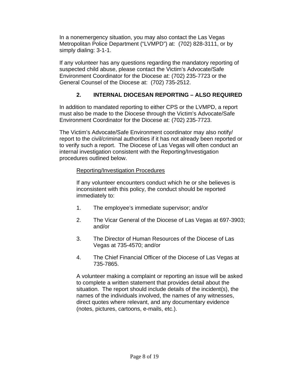In a nonemergency situation, you may also contact the Las Vegas Metropolitan Police Department ("LVMPD") at: (702) 828-3111, or by simply dialing: 3-1-1.

If any volunteer has any questions regarding the mandatory reporting of suspected child abuse, please contact the Victim's Advocate/Safe Environment Coordinator for the Diocese at: (702) 235-7723 or the General Counsel of the Diocese at: (702) 735-2512.

## **2. INTERNAL DIOCESAN REPORTING – ALSO REQUIRED**

In addition to mandated reporting to either CPS or the LVMPD, a report must also be made to the Diocese through the Victim's Advocate/Safe Environment Coordinator for the Diocese at: (702) 235-7723.

The Victim's Advocate/Safe Environment coordinator may also notify/ report to the civil/criminal authorities if it has not already been reported or to verify such a report. The Diocese of Las Vegas will often conduct an internal investigation consistent with the Reporting/Investigation procedures outlined below.

#### Reporting/Investigation Procedures

If any volunteer encounters conduct which he or she believes is inconsistent with this policy, the conduct should be reported immediately to:

- 1. The employee's immediate supervisor; and/or
- 2. The Vicar General of the Diocese of Las Vegas at 697-3903; and/or
- 3. The Director of Human Resources of the Diocese of Las Vegas at 735-4570; and/or
- 4. The Chief Financial Officer of the Diocese of Las Vegas at 735-7865.

A volunteer making a complaint or reporting an issue will be asked to complete a written statement that provides detail about the situation. The report should include details of the incident(s), the names of the individuals involved, the names of any witnesses, direct quotes where relevant, and any documentary evidence (notes, pictures, cartoons, e-mails, etc.).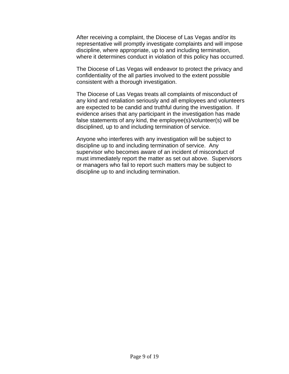After receiving a complaint, the Diocese of Las Vegas and/or its representative will promptly investigate complaints and will impose discipline, where appropriate, up to and including termination, where it determines conduct in violation of this policy has occurred.

The Diocese of Las Vegas will endeavor to protect the privacy and confidentiality of the all parties involved to the extent possible consistent with a thorough investigation.

The Diocese of Las Vegas treats all complaints of misconduct of any kind and retaliation seriously and all employees and volunteers are expected to be candid and truthful during the investigation. If evidence arises that any participant in the investigation has made false statements of any kind, the employee(s)/volunteer(s) will be disciplined, up to and including termination of service.

Anyone who interferes with any investigation will be subject to discipline up to and including termination of service. Any supervisor who becomes aware of an incident of misconduct of must immediately report the matter as set out above. Supervisors or managers who fail to report such matters may be subject to discipline up to and including termination.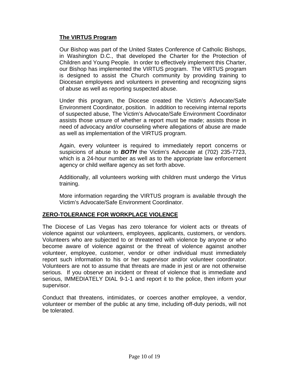#### **The VIRTUS Program**

Our Bishop was part of the United States Conference of Catholic Bishops, in Washington D.C., that developed the Charter for the Protection of Children and Young People. In order to effectively implement this Charter, our Bishop has implemented the VIRTUS program. The VIRTUS program is designed to assist the Church community by providing training to Diocesan employees and volunteers in preventing and recognizing signs of abuse as well as reporting suspected abuse.

Under this program, the Diocese created the Victim's Advocate/Safe Environment Coordinator, position. In addition to receiving internal reports of suspected abuse, The Victim's Advocate/Safe Environment Coordinator assists those unsure of whether a report must be made; assists those in need of advocacy and/or counseling where allegations of abuse are made as well as implementation of the VIRTUS program.

Again, every volunteer is required to immediately report concerns or suspicions of abuse to *BOTH* the Victim's Advocate at (702) 235-7723, which is a 24-hour number as well as to the appropriate law enforcement agency or child welfare agency as set forth above.

Additionally, all volunteers working with children must undergo the Virtus training.

More information regarding the VIRTUS program is available through the Victim's Advocate/Safe Environment Coordinator.

#### **ZERO-TOLERANCE FOR WORKPLACE VIOLENCE**

The Diocese of Las Vegas has zero tolerance for violent acts or threats of violence against our volunteers, employees, applicants, customers, or vendors. Volunteers who are subjected to or threatened with violence by anyone or who become aware of violence against or the threat of violence against another volunteer, employee, customer, vendor or other individual must immediately report such information to his or her supervisor and/or volunteer coordinator. Volunteers are not to assume that threats are made in jest or are not otherwise serious. If you observe an incident or threat of violence that is immediate and serious, IMMEDIATELY DIAL 9-1-1 and report it to the police, then inform your supervisor.

Conduct that threatens, intimidates, or coerces another employee, a vendor, volunteer or member of the public at any time, including off-duty periods, will not be tolerated.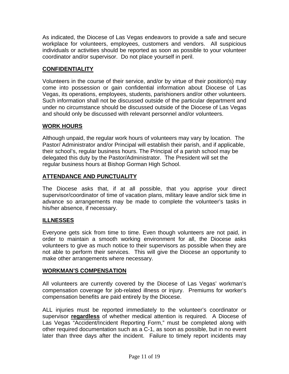As indicated, the Diocese of Las Vegas endeavors to provide a safe and secure workplace for volunteers, employees, customers and vendors. All suspicious individuals or activities should be reported as soon as possible to your volunteer coordinator and/or supervisor. Do not place yourself in peril.

## **CONFIDENTIALITY**

Volunteers in the course of their service, and/or by virtue of their position(s) may come into possession or gain confidential information about Diocese of Las Vegas, its operations, employees, students, parishioners and/or other volunteers. Such information shall not be discussed outside of the particular department and under no circumstance should be discussed outside of the Diocese of Las Vegas and should only be discussed with relevant personnel and/or volunteers.

## **WORK HOURS**

Although unpaid, the regular work hours of volunteers may vary by location. The Pastor/ Administrator and/or Principal will establish their parish, and if applicable, their school's, regular business hours. The Principal of a parish school may be delegated this duty by the Pastor/Administrator. The President will set the regular business hours at Bishop Gorman High School.

## **ATTENDANCE AND PUNCTUALITY**

The Diocese asks that, if at all possible, that you apprise your direct supervisor/coordinator of time of vacation plans, military leave and/or sick time in advance so arrangements may be made to complete the volunteer's tasks in his/her absence, if necessary.

## **ILLNESSES**

Everyone gets sick from time to time. Even though volunteers are not paid, in order to maintain a smooth working environment for all, the Diocese asks volunteers to give as much notice to their supervisors as possible when they are not able to perform their services. This will give the Diocese an opportunity to make other arrangements where necessary.

## **WORKMAN'S COMPENSATION**

All volunteers are currently covered by the Diocese of Las Vegas' workman's compensation coverage for job-related illness or injury. Premiums for worker's compensation benefits are paid entirely by the Diocese.

ALL injuries must be reported immediately to the volunteer's coordinator or supervisor **regardless** of whether medical attention is required. A Diocese of Las Vegas "Accident/Incident Reporting Form," must be completed along with other required documentation such as a C-1, as soon as possible, but in no event later than three days after the incident. Failure to timely report incidents may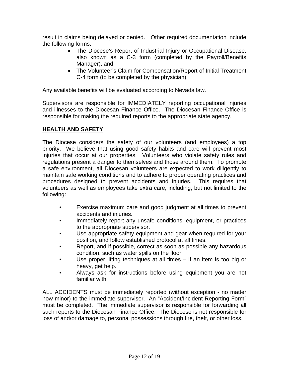result in claims being delayed or denied. Other required documentation include the following forms:

- The Diocese's Report of Industrial Injury or Occupational Disease, also known as a C-3 form (completed by the Payroll/Benefits Manager), and
- The Volunteer's Claim for Compensation/Report of Initial Treatment C-4 form (to be completed by the physician).

Any available benefits will be evaluated according to Nevada law.

Supervisors are responsible for IMMEDIATELY reporting occupational injuries and illnesses to the Diocesan Finance Office. The Diocesan Finance Office is responsible for making the required reports to the appropriate state agency.

## **HEALTH AND SAFETY**

The Diocese considers the safety of our volunteers (and employees) a top priority. We believe that using good safety habits and care will prevent most injuries that occur at our properties. Volunteers who violate safety rules and regulations present a danger to themselves and those around them. To promote a safe environment, all Diocesan volunteers are expected to work diligently to maintain safe working conditions and to adhere to proper operating practices and procedures designed to prevent accidents and injuries. This requires that volunteers as well as employees take extra care, including, but not limited to the following:

- Exercise maximum care and good judgment at all times to prevent accidents and injuries.
- Immediately report any unsafe conditions, equipment, or practices to the appropriate supervisor.
- Use appropriate safety equipment and gear when required for your position, and follow established protocol at all times.
- Report, and if possible, correct as soon as possible any hazardous condition, such as water spills on the floor.
- Use proper lifting techniques at all times  $-$  if an item is too big or heavy, get help.
- Always ask for instructions before using equipment you are not familiar with.

ALL ACCIDENTS must be immediately reported (without exception - no matter how minor) to the immediate supervisor. An "Accident/Incident Reporting Form" must be completed. The immediate supervisor is responsible for forwarding all such reports to the Diocesan Finance Office. The Diocese is not responsible for loss of and/or damage to, personal possessions through fire, theft, or other loss.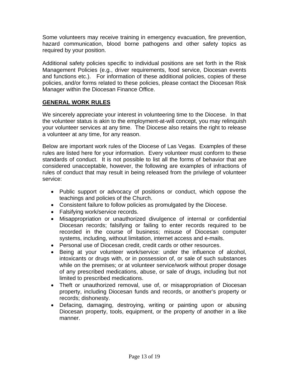Some volunteers may receive training in emergency evacuation, fire prevention, hazard communication, blood borne pathogens and other safety topics as required by your position.

Additional safety policies specific to individual positions are set forth in the Risk Management Policies (e.g., driver requirements, food service, Diocesan events and functions etc.). For information of these additional policies, copies of these policies, and/or forms related to these policies, please contact the Diocesan Risk Manager within the Diocesan Finance Office.

#### **GENERAL WORK RULES**

We sincerely appreciate your interest in volunteering time to the Diocese. In that the volunteer status is akin to the employment-at-will concept, you may relinquish your volunteer services at any time. The Diocese also retains the right to release a volunteer at any time, for any reason.

Below are important work rules of the Diocese of Las Vegas. Examples of these rules are listed here for your information. Every volunteer must conform to these standards of conduct. It is not possible to list all the forms of behavior that are considered unacceptable, however, the following are examples of infractions of rules of conduct that may result in being released from the privilege of volunteer service:

- Public support or advocacy of positions or conduct, which oppose the teachings and policies of the Church.
- Consistent failure to follow policies as promulgated by the Diocese.
- Falsifying work/service records.
- Misappropriation or unauthorized divulgence of internal or confidential Diocesan records; falsifying or failing to enter records required to be recorded in the course of business; misuse of Diocesan computer systems, including, without limitation, internet access and e-mails.
- Personal use of Diocesan credit, credit cards or other resources.
- Being at your volunteer work/service: under the influence of alcohol, intoxicants or drugs with, or in possession of, or sale of such substances while on the premises; or at volunteer service/work without proper dosage of any prescribed medications, abuse, or sale of drugs, including but not limited to prescribed medications.
- Theft or unauthorized removal, use of, or misappropriation of Diocesan property, including Diocesan funds and records, or another's property or records; dishonesty.
- Defacing, damaging, destroying, writing or painting upon or abusing Diocesan property, tools, equipment, or the property of another in a like manner.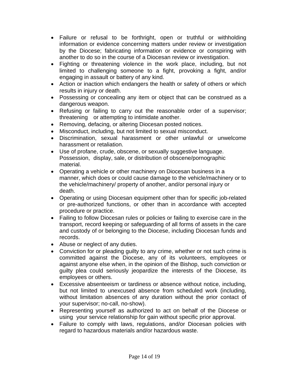- Failure or refusal to be forthright, open or truthful or withholding information or evidence concerning matters under review or investigation by the Diocese; fabricating information or evidence or conspiring with another to do so in the course of a Diocesan review or investigation.
- Fighting or threatening violence in the work place, including, but not limited to challenging someone to a fight, provoking a fight, and/or engaging in assault or battery of any kind.
- Action or inaction which endangers the health or safety of others or which results in injury or death.
- Possessing or concealing any item or object that can be construed as a dangerous weapon.
- Refusing or failing to carry out the reasonable order of a supervisor; threatening or attempting to intimidate another.
- Removing, defacing, or altering Diocesan posted notices.
- Misconduct, including, but not limited to sexual misconduct.
- Discrimination, sexual harassment or other unlawful or unwelcome harassment or retaliation.
- Use of profane, crude, obscene, or sexually suggestive language. Possession, display, sale, or distribution of obscene/pornographic material.
- Operating a vehicle or other machinery on Diocesan business in a manner, which does or could cause damage to the vehicle/machinery or to the vehicle/machinery/ property of another, and/or personal injury or death.
- Operating or using Diocesan equipment other than for specific job-related or pre-authorized functions, or other than in accordance with accepted procedure or practice.
- Failing to follow Diocesan rules or policies or failing to exercise care in the transport, record keeping or safeguarding of all forms of assets in the care and custody of or belonging to the Diocese, including Diocesan funds and records.
- Abuse or neglect of any duties.
- Conviction for or pleading guilty to any crime, whether or not such crime is committed against the Diocese, any of its volunteers, employees or against anyone else when, in the opinion of the Bishop, such conviction or guilty plea could seriously jeopardize the interests of the Diocese, its employees or others.
- Excessive absenteeism or tardiness or absence without notice, including, but not limited to unexcused absence from scheduled work (including, without limitation absences of any duration without the prior contact of your supervisor; no-call, no-show).
- Representing yourself as authorized to act on behalf of the Diocese or using your service relationship for gain without specific prior approval.
- Failure to comply with laws, regulations, and/or Diocesan policies with regard to hazardous materials and/or hazardous waste.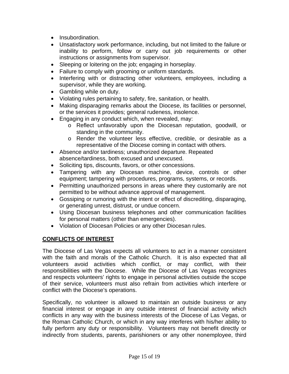- Insubordination.
- Unsatisfactory work performance, including, but not limited to the failure or inability to perform, follow or carry out job requirements or other instructions or assignments from supervisor.
- Sleeping or loitering on the job; engaging in horseplay.
- Failure to comply with grooming or uniform standards.
- Interfering with or distracting other volunteers, employees, including a supervisor, while they are working.
- Gambling while on duty.
- Violating rules pertaining to safety, fire, sanitation, or health.
- Making disparaging remarks about the Diocese, its facilities or personnel, or the services it provides; general rudeness, insolence.
- Engaging in any conduct which, when revealed, may:
	- o Reflect unfavorably upon the Diocesan reputation, goodwill, or standing in the community.
	- o Render the volunteer less effective, credible, or desirable as a representative of the Diocese coming in contact with others.
- Absence and/or tardiness; unauthorized departure. Repeated absence/tardiness, both excused and unexcused.
- Soliciting tips, discounts, favors, or other concessions.
- Tampering with any Diocesan machine, device, controls or other equipment; tampering with procedures, programs, systems, or records.
- Permitting unauthorized persons in areas where they customarily are not permitted to be without advance approval of management.
- Gossiping or rumoring with the intent or effect of discrediting, disparaging, or generating unrest, distrust, or undue concern.
- Using Diocesan business telephones and other communication facilities for personal matters (other than emergencies).
- Violation of Diocesan Policies or any other Diocesan rules.

## **CONFLICTS OF INTEREST**

The Diocese of Las Vegas expects all volunteers to act in a manner consistent with the faith and morals of the Catholic Church. It is also expected that all volunteers avoid activities which conflict, or may conflict, with their responsibilities with the Diocese. While the Diocese of Las Vegas recognizes and respects volunteers' rights to engage in personal activities outside the scope of their service, volunteers must also refrain from activities which interfere or conflict with the Diocese's operations.

Specifically, no volunteer is allowed to maintain an outside business or any financial interest or engage in any outside interest of financial activity which conflicts in any way with the business interests of the Diocese of Las Vegas, or the Roman Catholic Church, or which in any way interferes with his/her ability to fully perform any duty or responsibility. Volunteers may not benefit directly or indirectly from students, parents, parishioners or any other nonemployee, third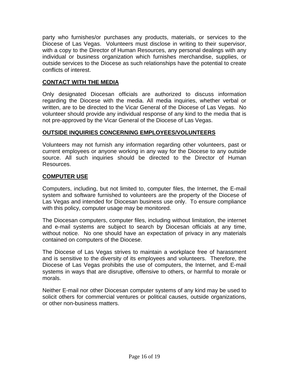party who furnishes/or purchases any products, materials, or services to the Diocese of Las Vegas. Volunteers must disclose in writing to their supervisor, with a copy to the Director of Human Resources, any personal dealings with any individual or business organization which furnishes merchandise, supplies, or outside services to the Diocese as such relationships have the potential to create conflicts of interest.

## **CONTACT WITH THE MEDIA**

Only designated Diocesan officials are authorized to discuss information regarding the Diocese with the media. All media inquiries, whether verbal or written, are to be directed to the Vicar General of the Diocese of Las Vegas. No volunteer should provide any individual response of any kind to the media that is not pre-approved by the Vicar General of the Diocese of Las Vegas.

#### **OUTSIDE INQUIRIES CONCERNING EMPLOYEES/VOLUNTEERS**

Volunteers may not furnish any information regarding other volunteers, past or current employees or anyone working in any way for the Diocese to any outside source. All such inquiries should be directed to the Director of Human Resources.

#### **COMPUTER USE**

Computers, including, but not limited to, computer files, the Internet, the E-mail system and software furnished to volunteers are the property of the Diocese of Las Vegas and intended for Diocesan business use only. To ensure compliance with this policy, computer usage may be monitored.

The Diocesan computers, computer files, including without limitation, the internet and e-mail systems are subject to search by Diocesan officials at any time, without notice. No one should have an expectation of privacy in any materials contained on computers of the Diocese.

The Diocese of Las Vegas strives to maintain a workplace free of harassment and is sensitive to the diversity of its employees and volunteers. Therefore, the Diocese of Las Vegas prohibits the use of computers, the Internet, and E-mail systems in ways that are disruptive, offensive to others, or harmful to morale or morals.

Neither E-mail nor other Diocesan computer systems of any kind may be used to solicit others for commercial ventures or political causes, outside organizations, or other non-business matters.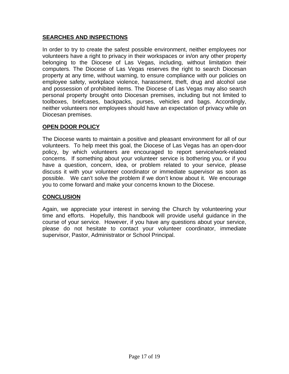## **SEARCHES AND INSPECTIONS**

In order to try to create the safest possible environment, neither employees nor volunteers have a right to privacy in their workspaces or in/on any other property belonging to the Diocese of Las Vegas, including, without limitation their computers. The Diocese of Las Vegas reserves the right to search Diocesan property at any time, without warning, to ensure compliance with our policies on employee safety, workplace violence, harassment, theft, drug and alcohol use and possession of prohibited items. The Diocese of Las Vegas may also search personal property brought onto Diocesan premises, including but not limited to toolboxes, briefcases, backpacks, purses, vehicles and bags. Accordingly, neither volunteers nor employees should have an expectation of privacy while on Diocesan premises.

## **OPEN DOOR POLICY**

The Diocese wants to maintain a positive and pleasant environment for all of our volunteers. To help meet this goal, the Diocese of Las Vegas has an open-door policy, by which volunteers are encouraged to report service/work-related concerns. If something about your volunteer service is bothering you, or if you have a question, concern, idea, or problem related to your service, please discuss it with your volunteer coordinator or immediate supervisor as soon as possible. We can't solve the problem if we don't know about it. We encourage you to come forward and make your concerns known to the Diocese.

## **CONCLUSION**

Again, we appreciate your interest in serving the Church by volunteering your time and efforts. Hopefully, this handbook will provide useful guidance in the course of your service. However, if you have any questions about your service, please do not hesitate to contact your volunteer coordinator, immediate supervisor, Pastor, Administrator or School Principal.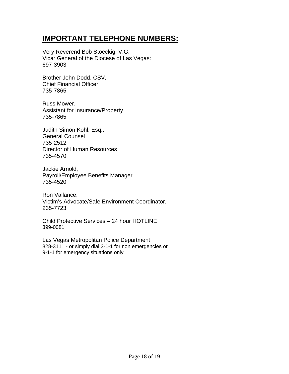## **IMPORTANT TELEPHONE NUMBERS:**

Very Reverend Bob Stoeckig, V.G. Vicar General of the Diocese of Las Vegas: 697-3903

Brother John Dodd, CSV, Chief Financial Officer 735-7865

Russ Mower, Assistant for Insurance/Property 735-7865

Judith Simon Kohl, Esq., General Counsel 735-2512 Director of Human Resources 735-4570

Jackie Arnold, Payroll/Employee Benefits Manager 735-4520

Ron Vallance, Victim's Advocate/Safe Environment Coordinator, 235-7723

Child Protective Services – 24 hour HOTLINE 399-0081

Las Vegas Metropolitan Police Department 828-3111 - or simply dial 3-1-1 for non emergencies or 9-1-1 for emergency situations only